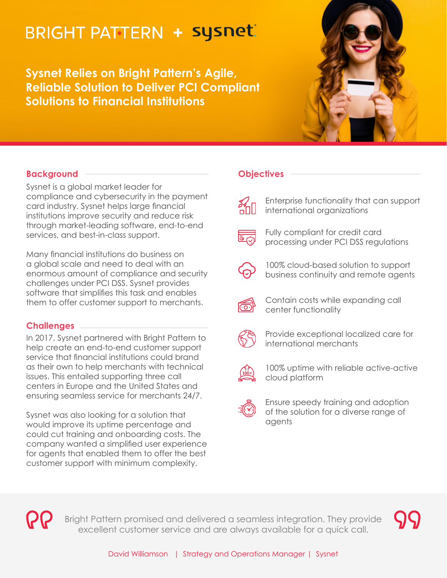# **BRIGHT PATTERN + sysnet**

**Sysnet Relies on Bright Pattern's Agile, Reliable Solution to Deliver PCI Compliant Solutions to Financial Institutions**



## **Background**

Sysnet is a global market leader for compliance and cybersecurity in the payment card industry. Sysnet helps large financial institutions improve security and reduce risk through market-leading software, end-to-end services, and best-in-class support.

Many financial institutions do business on a global scale and need to deal with an enormous amount of compliance and security challenges under PCI DSS. Sysnet provides software that simplifies this task and enables them to offer customer support to merchants.

### **Challenges**

In 2017, Sysnet partnered with Bright Pattern to help create an end-to-end customer support service that financial institutions could brand as their own to help merchants with technical issues. This entailed supporting three call centers in Europe and the United States and ensuring seamless service for merchants 24/7.

Sysnet was also looking for a solution that would improve its uptime percentage and could cut training and onboarding costs. The company wanted a simplified user experience for agents that enabled them to offer the best customer support with minimum complexity.

#### **Objectives**



Enterprise functionality that can support international organizations



Fully compliant for credit card processing under PCI DSS regulations



100% cloud-based solution to support business continuity and remote agents



Contain costs while expanding call center functionality



Provide exceptional localized care for international merchants



100% uptime with reliable active-active cloud platform



Ensure speedy training and adoption of the solution for a diverse range of agents



Bright Pattern promised and delivered a seamless integration. They provide excellent customer service and are always available for a quick call.